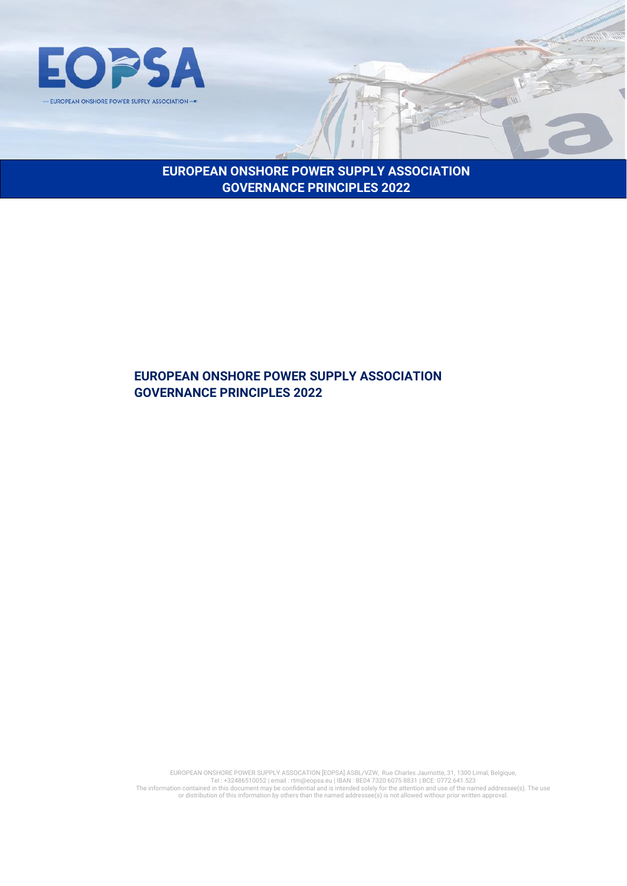

**EUROPEAN ONSHORE POWER SUPPLY ASSOCIATION GOVERNANCE PRINCIPLES 2022**

## **EUROPEAN ONSHORE POWER SUPPLY ASSOCIATION GOVERNANCE PRINCIPLES 2022**

EUROPEAN ONSHORE POWER SUPPLY ASSOCATION [EOPSA] ASBL/VZW, Rue Charles Jaumotte, 31, 1300 Limal, Belgique,<br>Tel: +32486510052 | email : rtm@eopsa.eu | IBAN : BEO4 7320 6075 8831 | BCE: 0772.641.523<br>The information contained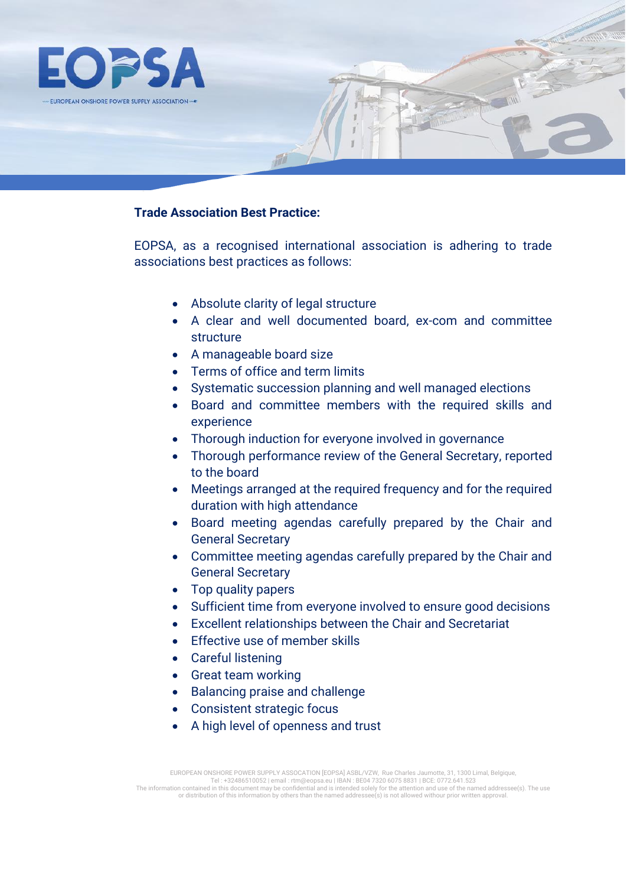

## **Trade Association Best Practice:**

EOPSA, as a recognised international association is adhering to trade associations best practices as follows:

- Absolute clarity of legal structure
- A clear and well documented board, ex-com and committee structure
- A manageable board size
- Terms of office and term limits
- Systematic succession planning and well managed elections
- Board and committee members with the required skills and experience
- Thorough induction for everyone involved in governance
- Thorough performance review of the General Secretary, reported to the board
- Meetings arranged at the required frequency and for the required duration with high attendance
- Board meeting agendas carefully prepared by the Chair and General Secretary
- Committee meeting agendas carefully prepared by the Chair and General Secretary
- Top quality papers
- Sufficient time from everyone involved to ensure good decisions
- Excellent relationships between the Chair and Secretariat
- Effective use of member skills
- Careful listening
- Great team working
- Balancing praise and challenge
- Consistent strategic focus
- A high level of openness and trust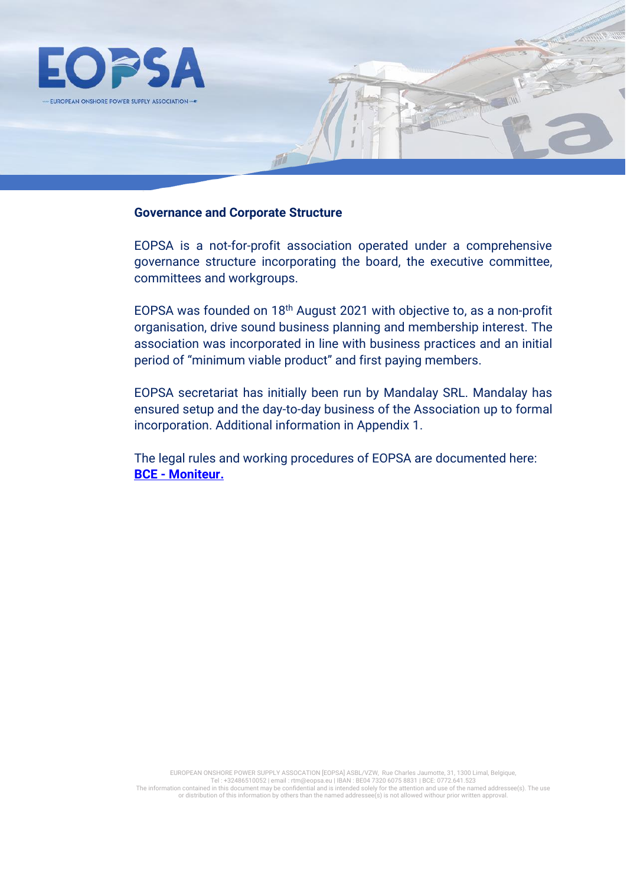

#### **Governance and Corporate Structure**

M

EOPSA is a not-for-profit association operated under a comprehensive governance structure incorporating the board, the executive committee, committees and workgroups.

EOPSA was founded on 18th August 2021 with objective to, as a non-profit organisation, drive sound business planning and membership interest. The association was incorporated in line with business practices and an initial period of "minimum viable product" and first paying members.

EOPSA secretariat has initially been run by Mandalay SRL. Mandalay has ensured setup and the day-to-day business of the Association up to formal incorporation. Additional information in Appendix 1.

The legal rules and working procedures of EOPSA are documented here: **BCE - [Moniteur.](http://www.ejustice.just.fgov.be/cgi_tsv/tsv_rech.pl?language=fr&btw=0772641523&liste=Liste)**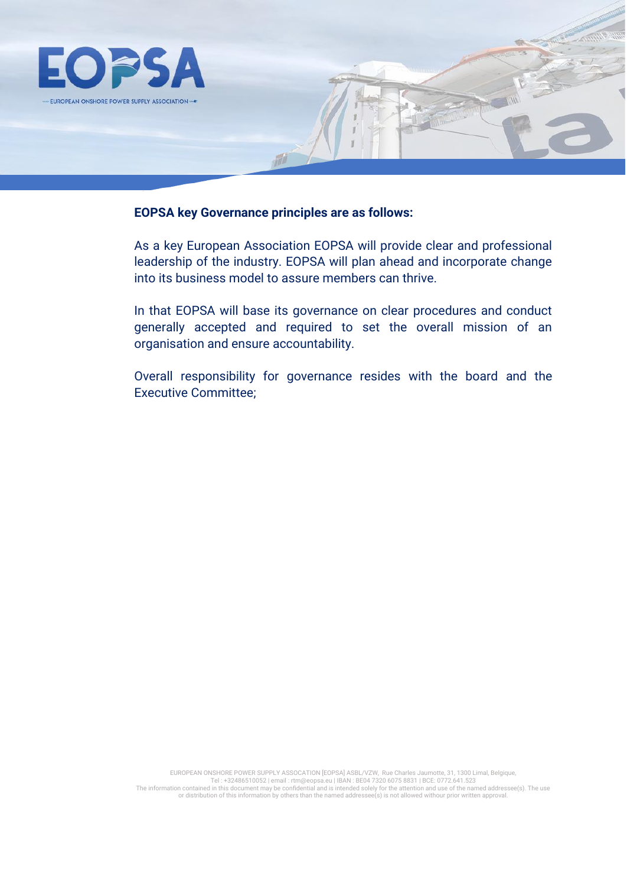

#### **EOPSA key Governance principles are as follows:**

As a key European Association EOPSA will provide clear and professional leadership of the industry. EOPSA will plan ahead and incorporate change into its business model to assure members can thrive.

In that EOPSA will base its governance on clear procedures and conduct generally accepted and required to set the overall mission of an organisation and ensure accountability.

Overall responsibility for governance resides with the board and the Executive Committee;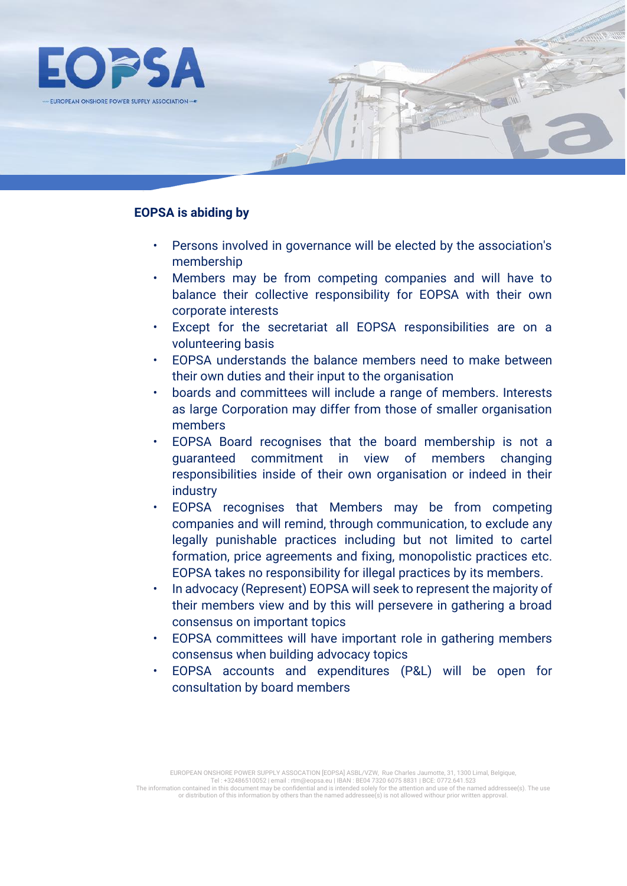

## **EOPSA is abiding by**

- Persons involved in governance will be elected by the association's membership
- Members may be from competing companies and will have to balance their collective responsibility for EOPSA with their own corporate interests
- Except for the secretariat all EOPSA responsibilities are on a volunteering basis
- EOPSA understands the balance members need to make between their own duties and their input to the organisation
- boards and committees will include a range of members. Interests as large Corporation may differ from those of smaller organisation members
- EOPSA Board recognises that the board membership is not a guaranteed commitment in view of members changing responsibilities inside of their own organisation or indeed in their industry
- EOPSA recognises that Members may be from competing companies and will remind, through communication, to exclude any legally punishable practices including but not limited to cartel formation, price agreements and fixing, monopolistic practices etc. EOPSA takes no responsibility for illegal practices by its members.
- In advocacy (Represent) EOPSA will seek to represent the majority of their members view and by this will persevere in gathering a broad consensus on important topics
- EOPSA committees will have important role in gathering members consensus when building advocacy topics
- EOPSA accounts and expenditures (P&L) will be open for consultation by board members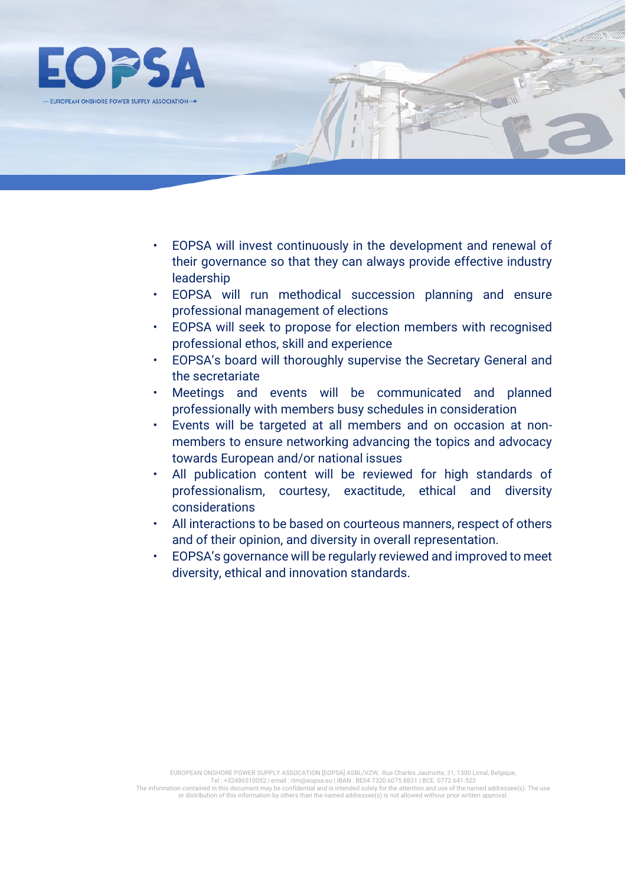

• EOPSA will invest continuously in the development and renewal of their governance so that they can always provide effective industry leadership

M

- EOPSA will run methodical succession planning and ensure professional management of elections
- EOPSA will seek to propose for election members with recognised professional ethos, skill and experience
- EOPSA's board will thoroughly supervise the Secretary General and the secretariate
- Meetings and events will be communicated and planned professionally with members busy schedules in consideration
- Events will be targeted at all members and on occasion at nonmembers to ensure networking advancing the topics and advocacy towards European and/or national issues
- All publication content will be reviewed for high standards of professionalism, courtesy, exactitude, ethical and diversity considerations
- All interactions to be based on courteous manners, respect of others and of their opinion, and diversity in overall representation.
- EOPSA's governance will be regularly reviewed and improved to meet diversity, ethical and innovation standards.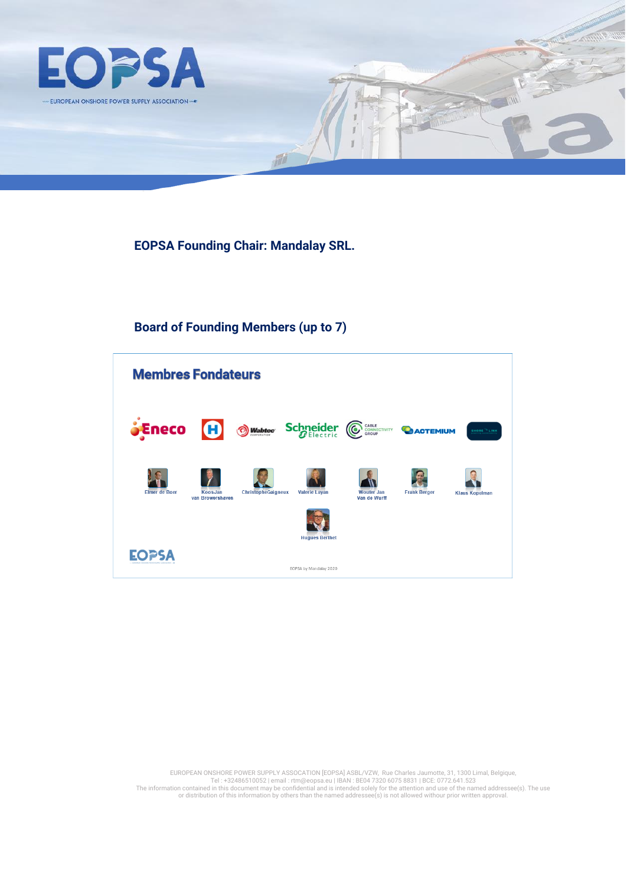

**EOPSA Founding Chair: Mandalay SRL.** 

fill

# **Board of Founding Members (up to 7)**



EUROPEAN ONSHORE POWER SUPPLY ASSOCATION [EOPSA] ASBL/VZW, Rue Charles Jaumotte, 31, 1300 Limal, Belgique,<br>Tel: +32486510052 | email : rtm@eopsa.eu | IBAN : BEO4 7320 6075 8831 | BCE: 0772.641.523<br>The information contained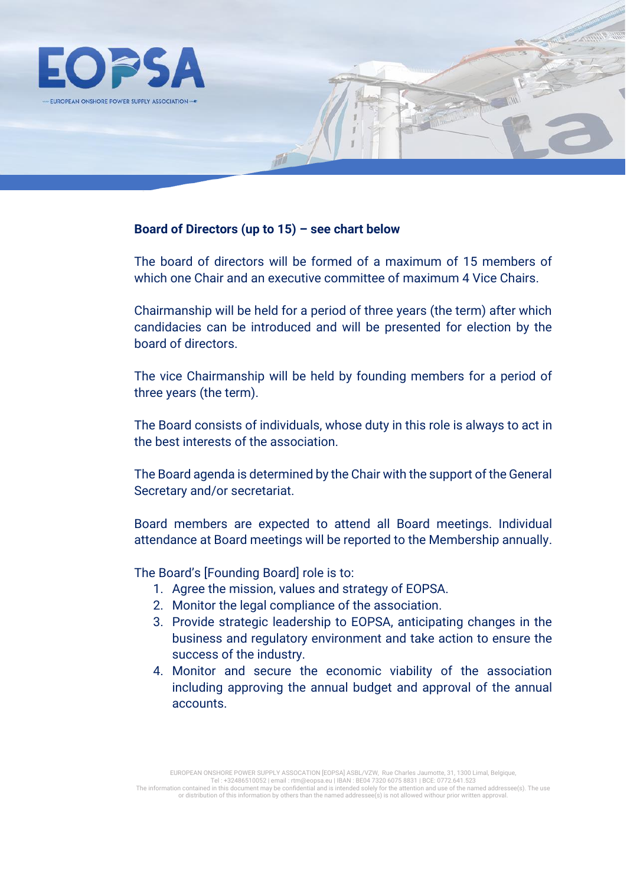![](_page_7_Picture_0.jpeg)

### **Board of Directors (up to 15) – see chart below**

The board of directors will be formed of a maximum of 15 members of which one Chair and an executive committee of maximum 4 Vice Chairs.

Chairmanship will be held for a period of three years (the term) after which candidacies can be introduced and will be presented for election by the board of directors.

The vice Chairmanship will be held by founding members for a period of three years (the term).

The Board consists of individuals, whose duty in this role is always to act in the best interests of the association.

The Board agenda is determined by the Chair with the support of the General Secretary and/or secretariat.

Board members are expected to attend all Board meetings. Individual attendance at Board meetings will be reported to the Membership annually.

The Board's [Founding Board] role is to:

- 1. Agree the mission, values and strategy of EOPSA.
- 2. Monitor the legal compliance of the association.
- 3. Provide strategic leadership to EOPSA, anticipating changes in the business and regulatory environment and take action to ensure the success of the industry.
- 4. Monitor and secure the economic viability of the association including approving the annual budget and approval of the annual accounts.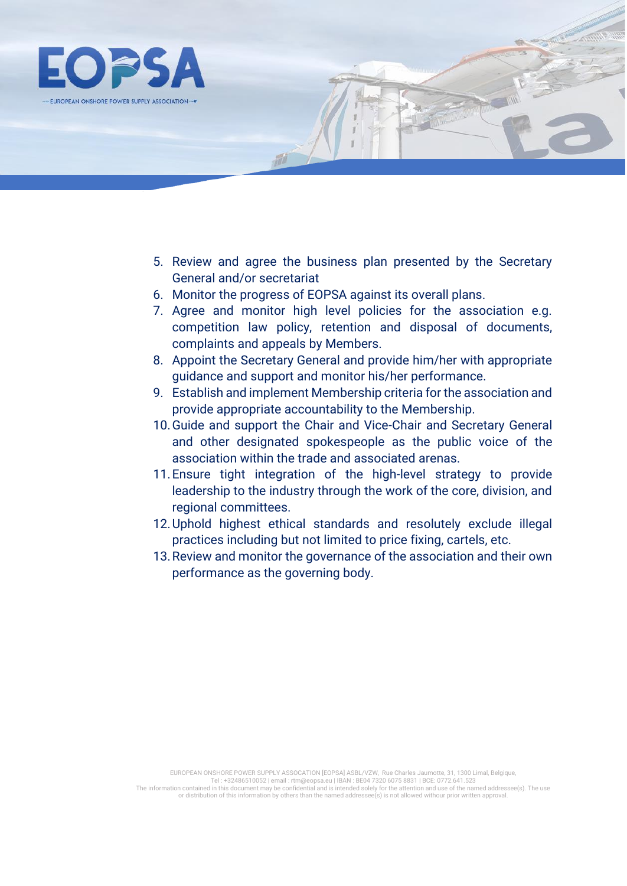![](_page_8_Picture_0.jpeg)

- 5. Review and agree the business plan presented by the Secretary General and/or secretariat
- 6. Monitor the progress of EOPSA against its overall plans.
- 7. Agree and monitor high level policies for the association e.g. competition law policy, retention and disposal of documents, complaints and appeals by Members.
- 8. Appoint the Secretary General and provide him/her with appropriate guidance and support and monitor his/her performance.
- 9. Establish and implement Membership criteria for the association and provide appropriate accountability to the Membership.
- 10.Guide and support the Chair and Vice-Chair and Secretary General and other designated spokespeople as the public voice of the association within the trade and associated arenas.
- 11.Ensure tight integration of the high-level strategy to provide leadership to the industry through the work of the core, division, and regional committees.
- 12.Uphold highest ethical standards and resolutely exclude illegal practices including but not limited to price fixing, cartels, etc.
- 13.Review and monitor the governance of the association and their own performance as the governing body.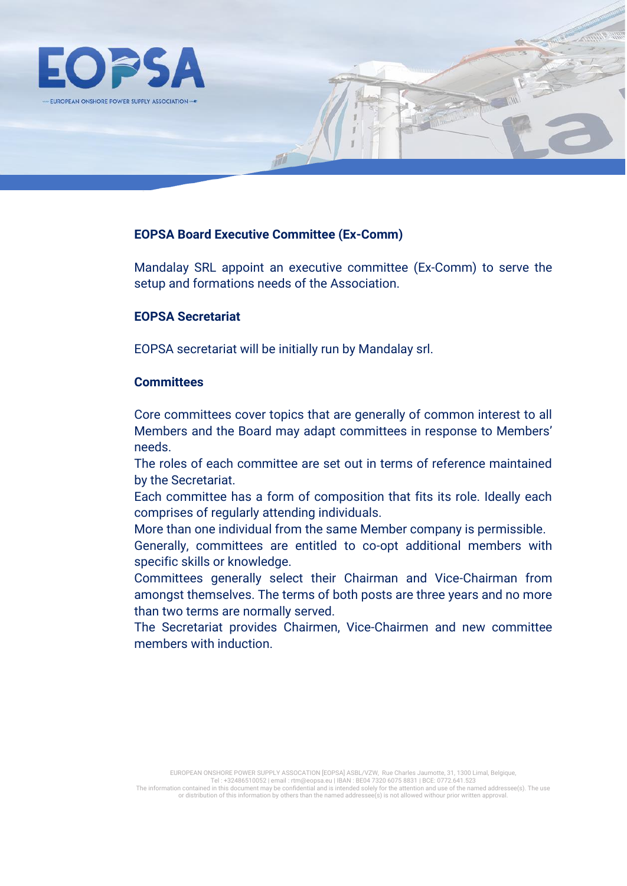![](_page_9_Picture_0.jpeg)

#### **EOPSA Board Executive Committee (Ex-Comm)**

**M** 

Mandalay SRL appoint an executive committee (Ex-Comm) to serve the setup and formations needs of the Association.

#### **EOPSA Secretariat**

EOPSA secretariat will be initially run by Mandalay srl.

## **Committees**

Core committees cover topics that are generally of common interest to all Members and the Board may adapt committees in response to Members' needs.

The roles of each committee are set out in terms of reference maintained by the Secretariat.

Each committee has a form of composition that fits its role. Ideally each comprises of regularly attending individuals.

More than one individual from the same Member company is permissible.

Generally, committees are entitled to co-opt additional members with specific skills or knowledge.

Committees generally select their Chairman and Vice-Chairman from amongst themselves. The terms of both posts are three years and no more than two terms are normally served.

The Secretariat provides Chairmen, Vice-Chairmen and new committee members with induction.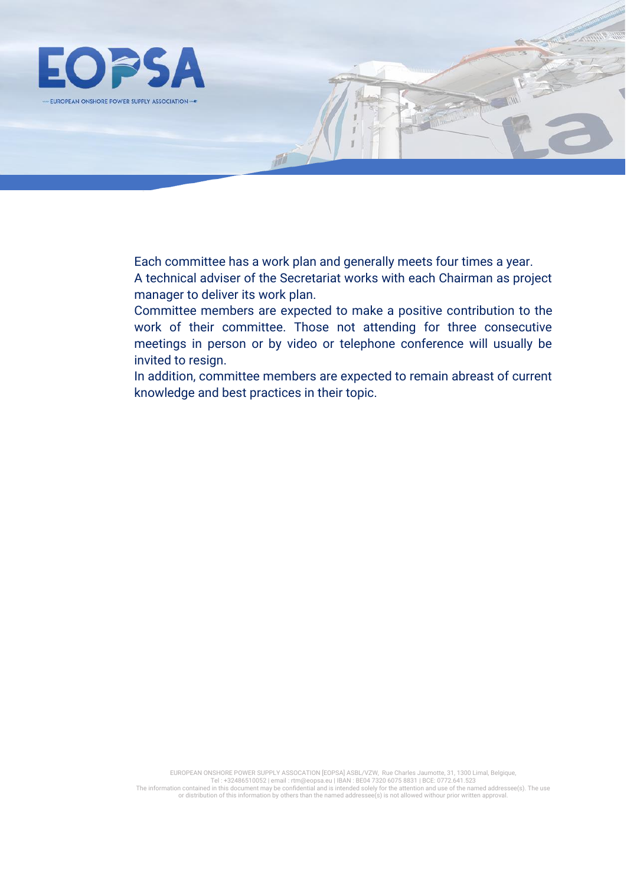![](_page_10_Picture_0.jpeg)

Each committee has a work plan and generally meets four times a year. A technical adviser of the Secretariat works with each Chairman as project manager to deliver its work plan.

Committee members are expected to make a positive contribution to the work of their committee. Those not attending for three consecutive meetings in person or by video or telephone conference will usually be invited to resign.

In addition, committee members are expected to remain abreast of current knowledge and best practices in their topic.